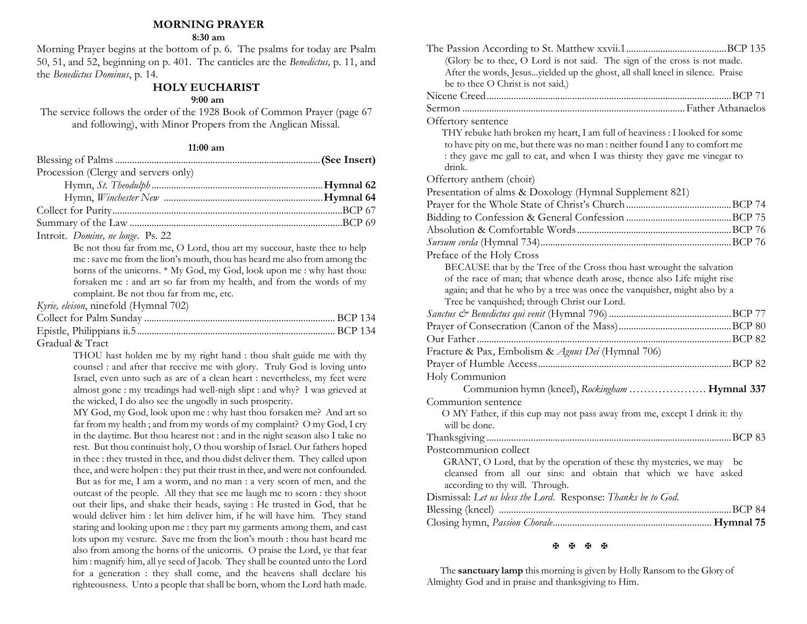#### **MORNING PRAYER**

#### **8:30 am**

Morning Prayer begins at the bottom of p. 6. The psalms for today are Psalm 50, 51, and 52, beginning on p. 401. The canticles are the *Benedictus,* p. 11, and the *Benedictus Dominus*, p. 14.

## **HOLY EUCHARIST**

### **9:00 am**

The service follows the order of the 1928 Book of Common Prayer (page 67 and following), with Minor Propers from the Anglican Missal.

#### **11:00 am**

| Procession (Clergy and servers only)                                     |  |
|--------------------------------------------------------------------------|--|
|                                                                          |  |
|                                                                          |  |
|                                                                          |  |
|                                                                          |  |
| Introit. Domine, ne longe. Ps. 22                                        |  |
| Be not thou far from me, O Lord, thou art my succour, haste thee to help |  |
| me: save me from the lion's mouth, thou has heard me also from among the |  |
| horns of the unicorns. * My God, my God, look upon me : why hast thou:   |  |
| forsaken me : and art so far from my health, and from the words of my    |  |
| complaint. Be not thou far from me, etc.                                 |  |
| Kyrie, eleison, ninefold (Hymnal 702)                                    |  |
|                                                                          |  |
|                                                                          |  |
| Gradual & Tract                                                          |  |
| THOU best holden me by my right hend: thou shelt guide me with thy       |  |

THOU hast holden me by my right hand : thou shalt guide me with thy counsel : and after that receive me with glory. Truly God is loving unto Israel, even unto such as are of a clean heart : nevertheless, my feet were almost gone : my treadings had well-nigh slipt : and why? I was grieved at the wicked, I do also see the ungodly in such prosperity.

MY God, my God, look upon me : why hast thou forsaken me? And art so far from my health ; and from my words of my complaint? O my God, I cry in the daytime. But thou hearest not : and in the night season also I take no rest. But thou continuist holy, O thou worship of Israel. Our fathers hoped in thee : they trusted in thee, and thou didst deliver them. They called upon thee, and were holpen : they put their trust in thee, and were not confounded. But as for me, I am a worm, and no man : a very scorn of men, and the outcast of the people. All they that see me laugh me to scorn : they shoot out their lips, and shake their heads, saying : He trusted in God, that he would deliver him : let him deliver him, if he will have him. They stand staring and looking upon me : they part my garments among them, and cast lots upon my vesture. Save me from the lion's mouth : thou hast heard me also from among the horns of the unicorns. O praise the Lord, ye that fear him : magnify him, all ye seed of Jacob. They shall be counted unto the Lord for a generation : they shall come, and the heavens shall declare his righteousness. Unto a people that shall be born, whom the Lord hath made.

| (Glory be to thee, O Lord is not said. The sign of the cross is not made.<br>After the words, Jesusyielded up the ghost, all shall kneel in silence. Praise<br>be to thee O Christ is not said.) |  |
|--------------------------------------------------------------------------------------------------------------------------------------------------------------------------------------------------|--|
|                                                                                                                                                                                                  |  |
|                                                                                                                                                                                                  |  |
| Offertory sentence                                                                                                                                                                               |  |
| THY rebuke hath broken my heart, I am full of heaviness : I looked for some                                                                                                                      |  |
| to have pity on me, but there was no man : neither found I any to comfort me                                                                                                                     |  |
| : they gave me gall to eat, and when I was thirsty they gave me vinegar to                                                                                                                       |  |
| drink.                                                                                                                                                                                           |  |
| Offertory anthem (choir)                                                                                                                                                                         |  |
| Presentation of alms & Doxology (Hymnal Supplement 821)                                                                                                                                          |  |
|                                                                                                                                                                                                  |  |
|                                                                                                                                                                                                  |  |
|                                                                                                                                                                                                  |  |
|                                                                                                                                                                                                  |  |
| Preface of the Holy Cross<br>BECAUSE that by the Tree of the Cross thou hast wrought the salvation                                                                                               |  |
| of the race of man; that whence death arose, thence also Life might rise                                                                                                                         |  |
| again; and that he who by a tree was once the vanquisher, might also by a                                                                                                                        |  |
| Tree be vanquished; through Christ our Lord.                                                                                                                                                     |  |
|                                                                                                                                                                                                  |  |
|                                                                                                                                                                                                  |  |
|                                                                                                                                                                                                  |  |
| Fracture & Pax, Embolism & Agnus Dei (Hymnal 706)                                                                                                                                                |  |
|                                                                                                                                                                                                  |  |
| Holy Communion                                                                                                                                                                                   |  |
| Communion hymn (kneel), Rockingham  Hymnal 337                                                                                                                                                   |  |
| Communion sentence                                                                                                                                                                               |  |
| O MY Father, if this cup may not pass away from me, except I drink it: thy                                                                                                                       |  |
| will be done.                                                                                                                                                                                    |  |
|                                                                                                                                                                                                  |  |
| Postcommunion collect                                                                                                                                                                            |  |
| GRANT, O Lord, that by the operation of these thy mysteries, we may be                                                                                                                           |  |
| cleansed from all our sins: and obtain that which we have asked                                                                                                                                  |  |
| according to thy will. Through.                                                                                                                                                                  |  |
| Dismissal: Let us bless the Lord. Response: Thanks be to God.                                                                                                                                    |  |
|                                                                                                                                                                                                  |  |
|                                                                                                                                                                                                  |  |

#### **图图图图**

The **sanctuary lamp** this morning is given by Holly Ransom to the Glory of Almighty God and in praise and thanksgiving to Him.